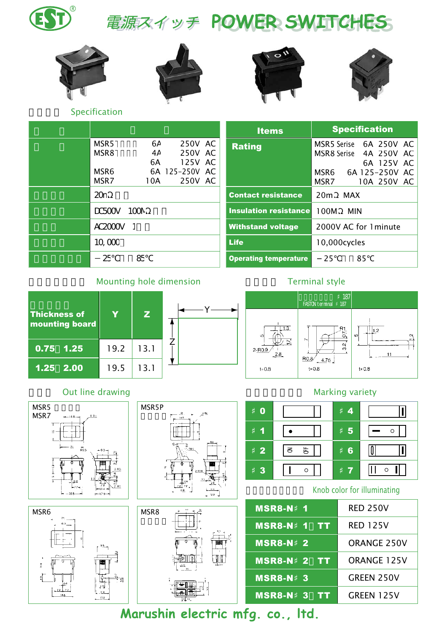電源スイッチ POWER SWITCHES









Specification

| MSR5                   | 6A  | 250V AC        | R          |
|------------------------|-----|----------------|------------|
| MSR8                   | 4А  | 250V AC        |            |
|                        | 6A  | 125V AC        |            |
| MSR6                   |     | 6A 125-250V AC |            |
| MSR7                   | 10A | 250V AC        |            |
| 20n                    |     |                | Co         |
| $DC500V$ $100N$        |     |                | <b>Ins</b> |
| <b>AC2000V</b>         | -1  |                | Wi         |
| $10 \text{ } \text{C}$ |     |                | Lif        |
| 25                     | Æ   |                | Op         |

|                                                                                     | <b>Items</b>                 | <b>Specification</b>                                                                                            |  |  |
|-------------------------------------------------------------------------------------|------------------------------|-----------------------------------------------------------------------------------------------------------------|--|--|
| 6А<br>250V AC<br>250V AC<br>4А<br>6A<br>125V AC<br>6A 125-250V AC<br>250V AC<br>10A | <b>Rating</b>                | MSR5 Serise 6A 250V AC<br>MSR8 Serise 4A 250V AC<br>6A 125V AC<br>6A 125-250V AC<br>MSR6<br>MSR7<br>10A 250V AC |  |  |
|                                                                                     | <b>Contact resistance</b>    | 20m<br><b>MAX</b>                                                                                               |  |  |
| ICCN                                                                                | <b>Insulation resistance</b> | 100M<br><b>MIN</b>                                                                                              |  |  |
|                                                                                     | <b>Withstand voltage</b>     | 2000V AC for 1 minute                                                                                           |  |  |
|                                                                                     | <b>Life</b>                  | 10,000cycles                                                                                                    |  |  |
| Æ                                                                                   | <b>Operating temperature</b> | 25<br>85                                                                                                        |  |  |

### Mounting hole dimension



#### Out line drawing the contraction of the Marking variety









### Terminal style





#### Knob color for illuminating

| <b>MSR8-N 1</b>    | <b>RED 250V</b>    |
|--------------------|--------------------|
| <b>MSR8-N 1 TT</b> | <b>RED 125V</b>    |
| <b>MSR8-N</b> 2    | <b>ORANGE 250V</b> |
| <b>MSR8-N 2 TT</b> | <b>ORANGE 125V</b> |
| <b>MSR8-N 3</b>    | GREEN 250V         |
| <b>MSR8-N 3</b>    | GREEN 125V         |

Marushin electric mfg. co., Itd.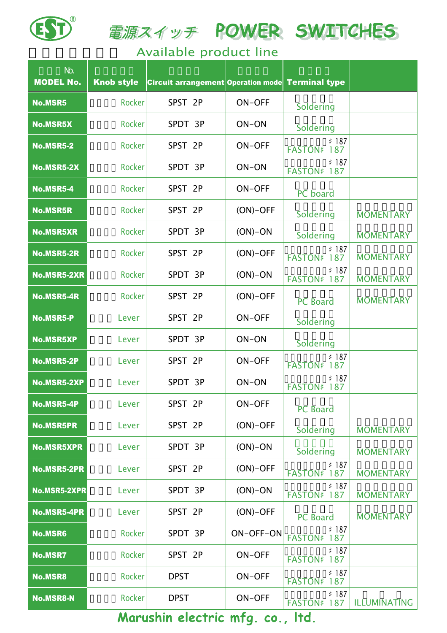

電源スイッチ POWER SWITCHES

## Available product line

| N <sub>2</sub><br><b>MODEL No.</b> | <b>Knob style</b> | Circuit arrangement Operation mode Terminal type |               |                             |                  |
|------------------------------------|-------------------|--------------------------------------------------|---------------|-----------------------------|------------------|
| <b>No.MSR5</b>                     | <b>Rocker</b>     | SPST 2P                                          | <b>ON-OFF</b> | Soldering                   |                  |
| <b>No.MSR5X</b>                    | <b>Rocker</b>     | SPDT 3P                                          | ON-ON         | Soldering                   |                  |
| <b>No.MSR5-2</b>                   | <b>Rocker</b>     | SPST 2P                                          | <b>ON-OFF</b> | 187<br><b>FASTON</b><br>187 |                  |
| <b>No.MSR5-2X</b>                  | <b>Rocker</b>     | SPDT 3P                                          | ON-ON         | 187<br><b>FASTON</b><br>187 |                  |
| <b>No.MSR5-4</b>                   | <b>Rocker</b>     | SPST 2P                                          | <b>ON-OFF</b> | PC board                    |                  |
| <b>No.MSR5R</b>                    | Rocker            | SPST 2P                                          | $(ON)-OFF$    | Soldering                   | <b>MOMENTARY</b> |
| <b>No.MSR5XR</b>                   | Rocker            | SPDT 3P                                          | $(ON)-ON$     | Soldering                   | <b>MOMENTARY</b> |
| <b>No.MSR5-2R</b>                  | <b>Rocker</b>     | SPST 2P                                          | $(ON)-OFF$    | 187<br><b>FASTON</b><br>187 | <b>MOMENTARY</b> |
| <b>No.MSR5-2XR</b>                 | <b>Rocker</b>     | SPDT 3P                                          | $(ON)-ON$     | 187<br><b>FASTON</b><br>187 | <b>MOMENTARY</b> |
| <b>No.MSR5-4R</b>                  | <b>Rocker</b>     | SPST 2P                                          | $(ON)-OFF$    | <b>PC</b> Board             | <b>MOMENTARY</b> |
| <b>No.MSR5-P</b>                   | Lever             | SPST 2P                                          | <b>ON-OFF</b> | Soldering                   |                  |
| <b>No.MSR5XP</b>                   | Lever             | SPDT 3P                                          | ON-ON         | Soldering                   |                  |
| <b>No.MSR5-2P</b>                  | Lever             | SPST 2P                                          | <b>ON-OFF</b> | 187<br><b>FASTON</b><br>187 |                  |
| <b>No.MSR5-2XP</b>                 | Lever             | SPDT 3P                                          | ON-ON         | 187<br><b>FASTON</b><br>187 |                  |
| No.MSR5-4P                         | Lever             | SPST 2P                                          | ON-OFF        | PC Board                    |                  |
| <b>No.MSR5PR</b>                   | Lever             | SPST 2P                                          | $(ON)-OFF$    | Soldering                   | <b>MOMENTARY</b> |
| <b>No.MSR5XPR</b>                  | Lever             | SPDT 3P                                          | $(ON)-ON$     | Soldering                   | <b>MOMENTARY</b> |
| <b>No.MSR5-2PR</b>                 | Lever             | SPST 2P                                          | $(ON)-OFF$    | 187<br><b>FASTON</b><br>187 | <b>MOMENTARY</b> |
| <b>No.MSR5-2XPR</b>                | Lever             | SPDT 3P                                          | $(ON)-ON$     | 187<br><b>FASTON</b><br>187 | <b>MOMENTARY</b> |
| <b>No.MSR5-4PR</b>                 | Lever             | SPST 2P                                          | $(ON)-OFF$    | <b>PC</b> Board             | <b>MOMENTARY</b> |
| <b>No.MSR6</b>                     | Rocker            | SPDT 3P                                          | ON-OFF-ON     | 187<br><b>FASTON</b><br>187 |                  |
| <b>No.MSR7</b>                     | <b>Rocker</b>     | SPST 2P                                          | <b>ON-OFF</b> | 187<br><b>FASTON</b><br>187 |                  |
| <b>No.MSR8</b>                     | Rocker            | <b>DPST</b>                                      | <b>ON-OFF</b> | 187<br><b>FASTON</b><br>187 |                  |
| <b>No.MSR8-N</b>                   | <b>Rocker</b>     | <b>DPST</b>                                      | <b>ON-OFF</b> | 187<br><b>FASTON</b><br>187 | ILLUMINATING     |

Marushin electric mfg. co., Itd.